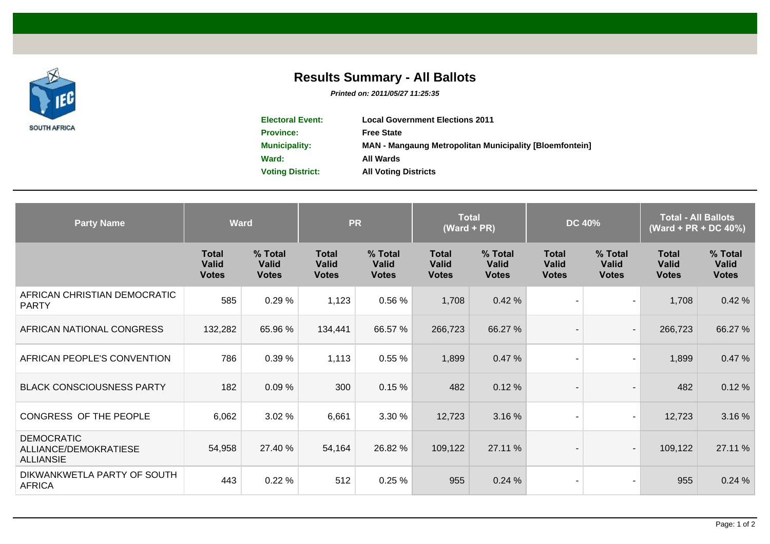

## **Results Summary - All Ballots**

**Printed on: 2011/05/27 11:25:35**

| <b>Electoral Event:</b> | <b>Local Government Elections 2011</b>                         |
|-------------------------|----------------------------------------------------------------|
| <b>Province:</b>        | <b>Free State</b>                                              |
| <b>Municipality:</b>    | <b>MAN - Mangaung Metropolitan Municipality [Bloemfontein]</b> |
| Ward:                   | All Wards                                                      |
| <b>Voting District:</b> | <b>All Voting Districts</b>                                    |

| <b>Party Name</b>                                              | <b>Ward</b>                           |                                         | <b>PR</b>                                    |                                         | <b>Total</b><br>$(Ward + PR)$                |                                         | <b>DC 40%</b>                                |                                         | <b>Total - All Ballots</b><br>(Ward + PR + DC 40%) |                                         |
|----------------------------------------------------------------|---------------------------------------|-----------------------------------------|----------------------------------------------|-----------------------------------------|----------------------------------------------|-----------------------------------------|----------------------------------------------|-----------------------------------------|----------------------------------------------------|-----------------------------------------|
|                                                                | <b>Total</b><br>Valid<br><b>Votes</b> | % Total<br><b>Valid</b><br><b>Votes</b> | <b>Total</b><br><b>Valid</b><br><b>Votes</b> | % Total<br><b>Valid</b><br><b>Votes</b> | <b>Total</b><br><b>Valid</b><br><b>Votes</b> | % Total<br><b>Valid</b><br><b>Votes</b> | <b>Total</b><br><b>Valid</b><br><b>Votes</b> | % Total<br><b>Valid</b><br><b>Votes</b> | <b>Total</b><br><b>Valid</b><br><b>Votes</b>       | % Total<br><b>Valid</b><br><b>Votes</b> |
| AFRICAN CHRISTIAN DEMOCRATIC<br><b>PARTY</b>                   | 585                                   | 0.29%                                   | 1,123                                        | 0.56%                                   | 1,708                                        | 0.42%                                   |                                              | $\overline{\phantom{a}}$                | 1,708                                              | 0.42%                                   |
| AFRICAN NATIONAL CONGRESS                                      | 132,282                               | 65.96 %                                 | 134,441                                      | 66.57 %                                 | 266,723                                      | 66.27 %                                 |                                              | $\blacksquare$                          | 266,723                                            | 66.27 %                                 |
| AFRICAN PEOPLE'S CONVENTION                                    | 786                                   | 0.39%                                   | 1,113                                        | 0.55%                                   | 1,899                                        | 0.47%                                   |                                              | $\blacksquare$                          | 1,899                                              | 0.47%                                   |
| <b>BLACK CONSCIOUSNESS PARTY</b>                               | 182                                   | 0.09%                                   | 300                                          | 0.15%                                   | 482                                          | 0.12%                                   |                                              | $\overline{\phantom{a}}$                | 482                                                | 0.12%                                   |
| CONGRESS OF THE PEOPLE                                         | 6,062                                 | 3.02 %                                  | 6,661                                        | 3.30 %                                  | 12,723                                       | 3.16 %                                  |                                              | $\overline{\phantom{a}}$                | 12,723                                             | 3.16 %                                  |
| <b>DEMOCRATIC</b><br>ALLIANCE/DEMOKRATIESE<br><b>ALLIANSIE</b> | 54,958                                | 27.40 %                                 | 54,164                                       | 26.82 %                                 | 109,122                                      | 27.11 %                                 |                                              | $\blacksquare$                          | 109,122                                            | 27.11 %                                 |
| DIKWANKWETLA PARTY OF SOUTH<br><b>AFRICA</b>                   | 443                                   | 0.22%                                   | 512                                          | 0.25%                                   | 955                                          | 0.24%                                   |                                              | $\overline{\phantom{a}}$                | 955                                                | 0.24%                                   |